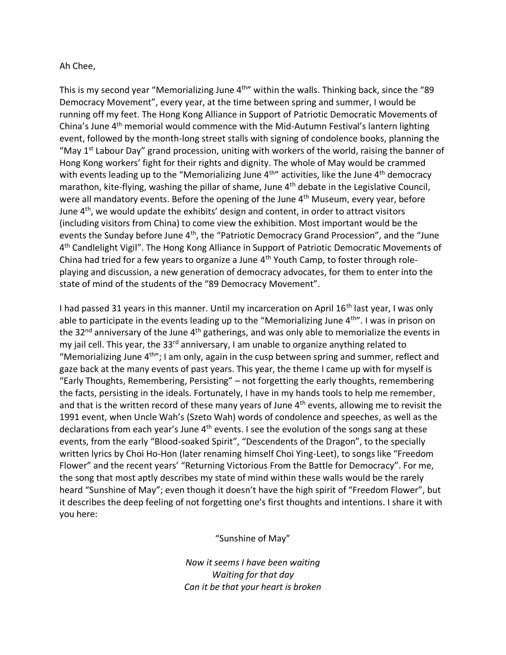## Ah Chee,

This is my second year "Memorializing June 4<sup>th</sup>" within the walls. Thinking back, since the "89 Democracy Movement", every year, at the time between spring and summer, I would be running off my feet. The Hong Kong Alliance in Support of Patriotic Democratic Movements of China's June 4<sup>th</sup> memorial would commence with the Mid-Autumn Festival's lantern lighting event, followed by the month-long street stalls with signing of condolence books, planning the "May  $1<sup>st</sup>$  Labour Day" grand procession, uniting with workers of the world, raising the banner of Hong Kong workers' fight for their rights and dignity. The whole of May would be crammed with events leading up to the "Memorializing June 4<sup>th</sup>" activities, like the June 4<sup>th</sup> democracy marathon, kite-flying, washing the pillar of shame, June 4<sup>th</sup> debate in the Legislative Council, were all mandatory events. Before the opening of the June 4<sup>th</sup> Museum, every year, before June 4<sup>th</sup>, we would update the exhibits' design and content, in order to attract visitors (including visitors from China) to come view the exhibition. Most important would be the events the Sunday before June 4<sup>th</sup>, the "Patriotic Democracy Grand Procession", and the "June 4<sup>th</sup> Candlelight Vigil". The Hong Kong Alliance in Support of Patriotic Democratic Movements of China had tried for a few years to organize a June 4<sup>th</sup> Youth Camp, to foster through roleplaying and discussion, a new generation of democracy advocates, for them to enter into the state of mind of the students of the "89 Democracy Movement".

I had passed 31 years in this manner. Until my incarceration on April 16<sup>th</sup> last year, I was only able to participate in the events leading up to the "Memorializing June 4<sup>th"</sup>. I was in prison on the 32<sup>nd</sup> anniversary of the June 4<sup>th</sup> gatherings, and was only able to memorialize the events in my jail cell. This year, the 33<sup>rd</sup> anniversary, I am unable to organize anything related to "Memorializing June  $4^{th}$ "; I am only, again in the cusp between spring and summer, reflect and gaze back at the many events of past years. This year, the theme I came up with for myself is "Early Thoughts, Remembering, Persisting" – not forgetting the early thoughts, remembering the facts, persisting in the ideals. Fortunately, I have in my hands tools to help me remember, and that is the written record of these many years of June 4<sup>th</sup> events, allowing me to revisit the 1991 event, when Uncle Wah's (Szeto Wah) words of condolence and speeches, as well as the declarations from each year's June 4<sup>th</sup> events. I see the evolution of the songs sang at these events, from the early "Blood-soaked Spirit", "Descendents of the Dragon", to the specially written lyrics by Choi Ho-Hon (later renaming himself Choi Ying-Leet), to songs like "Freedom Flower" and the recent years' "Returning Victorious From the Battle for Democracy". For me, the song that most aptly describes my state of mind within these walls would be the rarely heard "Sunshine of May"; even though it doesn't have the high spirit of "Freedom Flower", but it describes the deep feeling of not forgetting one's first thoughts and intentions. I share it with you here:

"Sunshine of May"

*Now it seems I have been waiting Waiting for that day Can it be that your heart is broken*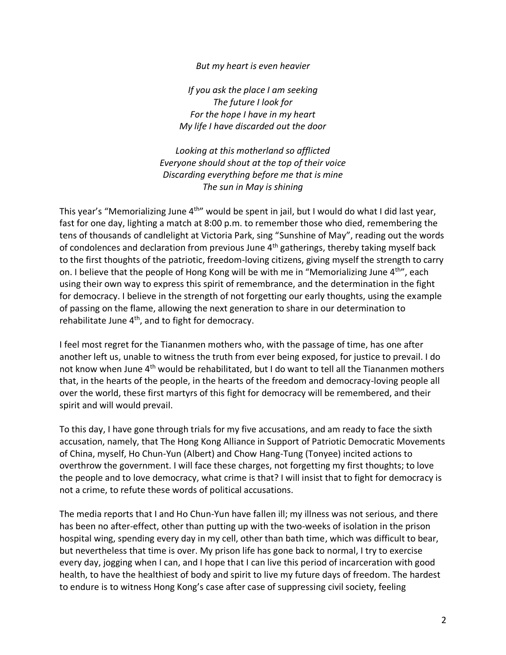## *But my heart is even heavier*

*If you ask the place I am seeking The future I look for For the hope I have in my heart My life I have discarded out the door*

*Looking at this motherland so afflicted Everyone should shout at the top of their voice Discarding everything before me that is mine The sun in May is shining*

This year's "Memorializing June 4<sup>th</sup>" would be spent in jail, but I would do what I did last year, fast for one day, lighting a match at 8:00 p.m. to remember those who died, remembering the tens of thousands of candlelight at Victoria Park, sing "Sunshine of May", reading out the words of condolences and declaration from previous June  $4<sup>th</sup>$  gatherings, thereby taking myself back to the first thoughts of the patriotic, freedom-loving citizens, giving myself the strength to carry on. I believe that the people of Hong Kong will be with me in "Memorializing June 4<sup>th"</sup>, each using their own way to express this spirit of remembrance, and the determination in the fight for democracy. I believe in the strength of not forgetting our early thoughts, using the example of passing on the flame, allowing the next generation to share in our determination to rehabilitate June  $4<sup>th</sup>$ , and to fight for democracy.

I feel most regret for the Tiananmen mothers who, with the passage of time, has one after another left us, unable to witness the truth from ever being exposed, for justice to prevail. I do not know when June 4<sup>th</sup> would be rehabilitated, but I do want to tell all the Tiananmen mothers that, in the hearts of the people, in the hearts of the freedom and democracy-loving people all over the world, these first martyrs of this fight for democracy will be remembered, and their spirit and will would prevail.

To this day, I have gone through trials for my five accusations, and am ready to face the sixth accusation, namely, that The Hong Kong Alliance in Support of Patriotic Democratic Movements of China, myself, Ho Chun-Yun (Albert) and Chow Hang-Tung (Tonyee) incited actions to overthrow the government. I will face these charges, not forgetting my first thoughts; to love the people and to love democracy, what crime is that? I will insist that to fight for democracy is not a crime, to refute these words of political accusations.

The media reports that I and Ho Chun-Yun have fallen ill; my illness was not serious, and there has been no after-effect, other than putting up with the two-weeks of isolation in the prison hospital wing, spending every day in my cell, other than bath time, which was difficult to bear, but nevertheless that time is over. My prison life has gone back to normal, I try to exercise every day, jogging when I can, and I hope that I can live this period of incarceration with good health, to have the healthiest of body and spirit to live my future days of freedom. The hardest to endure is to witness Hong Kong's case after case of suppressing civil society, feeling